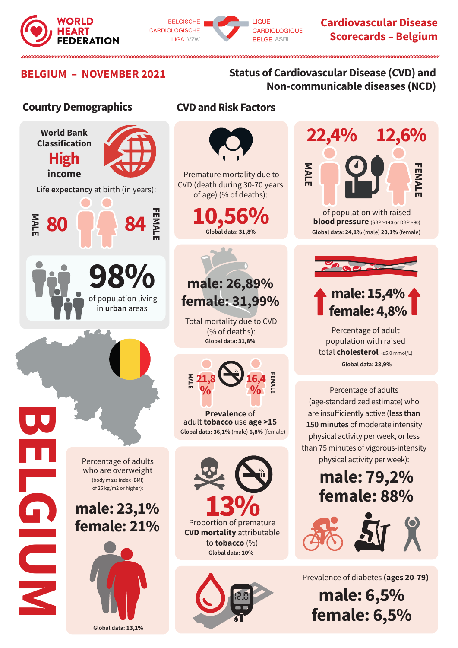



**Cardiovascular Disease Scorecards – Belgium**

### **BELGIUM – NOVEMBER 2021 Status of Cardiovascular Disease (CVD) and Non-communicable diseases (NCD)**

### **Country Demographics**



### **CVD and Risk Factors**



 Premature mortality due to CVD (death during 30-70 years of age) (% of deaths):

> **Global data: 31,8% 10,56%**

# **male: 26,89% female: 31,99%**

Total mortality due to CVD (% of deaths): **Global data: 31,8%**



**Prevalence** of adult **tobacco** use **age >15 Global data: 36,1%** (male) **6,8%** (female)



**Global data: 10%** 



# **22,4% 12,6% MALE FEMALE EMAL**

of population with raised **blood pressure** (SBP ≥140 or DBP ≥90) **Global data: 24,1%** (male) **20,1%** (female)



## **male: 15,4% female: 4,8%**

Percentage of adult population with raised total **cholesterol** (≥5.0 mmol/L) **Global data: 38,9%**

Percentage of adults (age-standardized estimate) who are insufficiently active (**less than 150 minutes** of moderate intensity physical activity per week, or less than 75 minutes of vigorous-intensity physical activity per week):

# **male: 79,2% female: 88%**



Prevalence of diabetes **(ages 20-79)**

**male: 6,5% female: 6,5%**